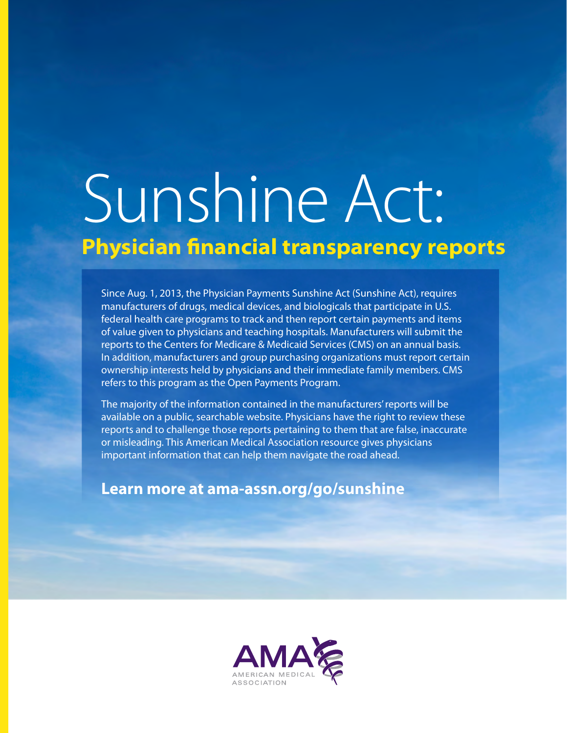# Sunshine Act: **Physician financial transparency reports**

Since Aug. 1, 2013, the Physician Payments Sunshine Act (Sunshine Act), requires manufacturers of drugs, medical devices, and biologicals that participate in U.S. federal health care programs to track and then report certain payments and items of value given to physicians and teaching hospitals. Manufacturers will submit the reports to the Centers for Medicare & Medicaid Services (CMS) on an annual basis. In addition, manufacturers and group purchasing organizations must report certain ownership interests held by physicians and their immediate family members. CMS refers to this program as the Open Payments Program.

The majority of the information contained in the manufacturers' reports will be available on a public, searchable website. Physicians have the right to review these reports and to challenge those reports pertaining to them that are false, inaccurate or misleading. This American Medical Association resource gives physicians important information that can help them navigate the road ahead.

**Learn more at ama-assn.org/go/sunshine**

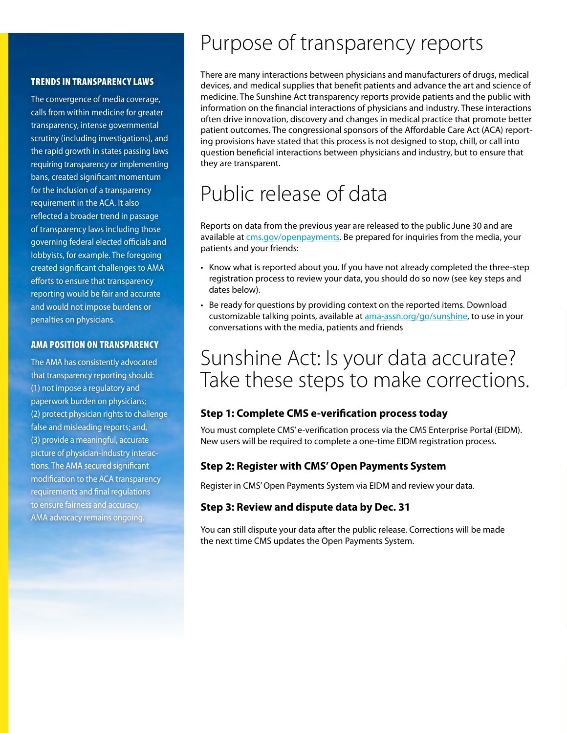#### TRENDS IN TRANSPARENCY LAWS

The convergence of media coverage, calls from within medicine for greater transparency, intense governmental scrutiny (including investigations), and the rapid growth in states passing laws requiring transparency or implementing bans, created significant momentum for the inclusion of a transparency requirement in the ACA. It also reflected a broader trend in passage of transparency laws including those governing federal elected officials and lobbyists, for example. The foregoing created significant challenges to AMA efforts to ensure that transparency reporting would be fair and accurate and would not impose burdens or penalties on physicians.

#### **AMA POSITION ON TRANSPARENCY**

The AMA has consistently advocated that transparency reporting should: (1) not impose a regulatory and paperwork burden on physicians; (2) protect physician rights to challenge false and misleading reports; and, (3) provide a meaningful, accurate picture of physician-industry interactions. The AMA secured significant modification to the ACA transparency requirements and final regulations to ensure fairness and accuracy. AMA advocacy remains ongoing.

### Purpose of transparency reports

There are many interactions between physicians and manufacturers of drugs, medical devices, and medical supplies that benefit patients and advance the art and science of medicine. The Sunshine Act transparency reports provide patients and the public with information on the financial interactions of physicians and industry. These interactions often drive innovation, discovery and changes in medical practice that promote better patient outcomes. The congressional sponsors of the Affordable Care Act (ACA) reporting provisions have stated that this process is not designed to stop, chill, or call into question beneficial interactions between physicians and industry, but to ensure that they are transparent.

### Public release of data

Reports on data from the previous year are released to the public June 30 and are available at [cms.gov/openpayments.](http://www.cms.gov/openpayments) Be prepared for inquiries from the media, your patients and your friends:

- Know what is reported about you. If you have not already completed the three-step registration process to review your data, you should do so now (see key steps and dates below).
- Be ready for questions by providing context on the reported items. Download customizable talking points, available at [ama-assn.org/go/sunshine,](http://www.ama-assn.org/go/sunshine) to use in your conversations with the media, patients and friends

### Sunshine Act: Is your data accurate? Take these steps to make corrections.

#### **Step 1: Complete CMS e-verification process today**

You must complete CMS' e-verification process via the CMS Enterprise Portal (EIDM). New users will be required to complete a one-time EIDM registration process.

#### **Step 2: Register with CMS' Open Payments System**

Register in CMS' Open Payments System via EIDM and review your data.

#### **Step 3: Review and dispute data by Dec. 31**

You can still dispute your data after the public release. Corrections will be made the next time CMS updates the Open Payments System.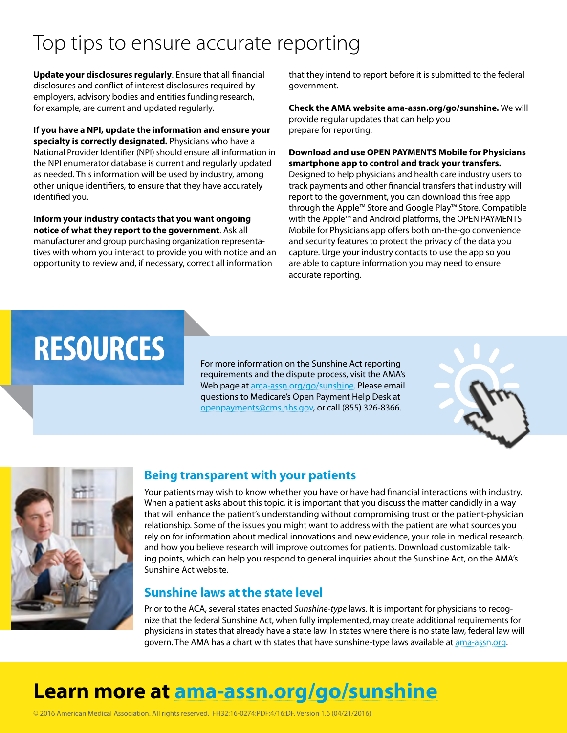### Top tips to ensure accurate reporting

**Update your disclosures regularly**. Ensure that all financial disclosures and conflict of interest disclosures required by employers, advisory bodies and entities funding research, for example, are current and updated regularly.

**If you have a NPI, update the information and ensure your specialty is correctly designated.** Physicians who have a National Provider Identifier (NPI) should ensure all information in the NPI enumerator database is current and regularly updated as needed. This information will be used by industry, among other unique identifiers, to ensure that they have accurately identified you.

**Inform your industry contacts that you want ongoing notice of what they report to the government**. Ask all manufacturer and group purchasing organization representatives with whom you interact to provide you with notice and an opportunity to review and, if necessary, correct all information

that they intend to report before it is submitted to the federal government.

**Check the AMA website [ama-assn.org/go/sunshine](http://www.ama-assn.org/go/sunshine).** We will provide regular updates that can help you prepare for reporting.

#### **Download and use OPEN PAYMENTS Mobile for Physicians smartphone app to control and track your transfers.**

Designed to help physicians and health care industry users to track payments and other financial transfers that industry will report to the government, you can download this free app through the Apple™ Store and Google Play™ Store. Compatible with the Apple™ and Android platforms, the OPEN PAYMENTS Mobile for Physicians app offers both on-the-go convenience and security features to protect the privacy of the data you capture. Urge your industry contacts to use the app so you are able to capture information you may need to ensure accurate reporting.

## RESOURCES For more information on the Sunshine Act reporting

requirements and the dispute process, visit the AMA's Web page at [ama-assn.org/go/sunshine](http://www.ama-assn.org/go/sunshine). Please email questions to Medicare's Open Payment Help Desk at [openpayments@cms.hhs.gov](mailto:openpayments@cms.hhs.gov), or call (855) 326-8366.





#### **Being transparent with your patients**

Your patients may wish to know whether you have or have had financial interactions with industry. When a patient asks about this topic, it is important that you discuss the matter candidly in a way that will enhance the patient's understanding without compromising trust or the patient-physician relationship. Some of the issues you might want to address with the patient are what sources you rely on for information about medical innovations and new evidence, your role in medical research, and how you believe research will improve outcomes for patients. Download customizable talking points, which can help you respond to general inquiries about the Sunshine Act, on the AMA's Sunshine Act website.

#### **Sunshine laws at the state level**

Prior to the ACA, several states enacted *Sunshine-type* laws. It is important for physicians to recognize that the federal Sunshine Act, when fully implemented, may create additional requirements for physicians in states that already have a state law. In states where there is no state law, federal law will govern. The AMA has a chart with states that have sunshine-type laws available at [ama-assn.org.](http://www.ama-assn.org)

### **Learn more at [ama-assn.org/go/sunshine](http://www.ama-assn.org/go/sunshine)**